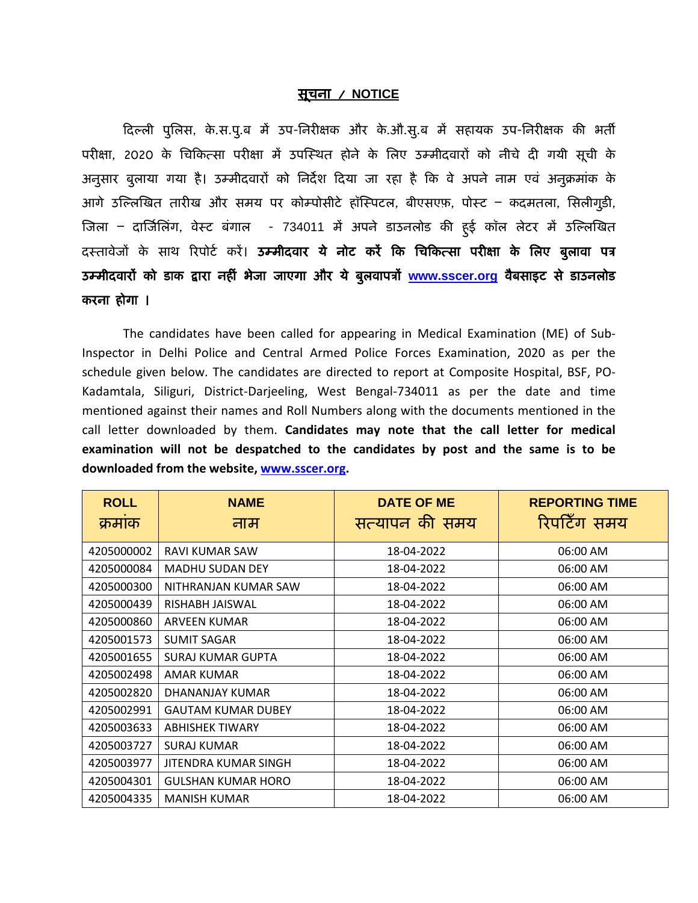## सूचना / **NOTICE**

दिल्ली पुलिस, के.स.पु.ब में उप-निरीक्षक और के.औ.सु.ब में सहायक उप-निरीक्षक की भर्ती परीक्षा, 2020 के चिकित्सा परीक्षा में उपस्थित होने के लिए उम्मीदवारों को नीचे दी गयी सूची के अनुसार बुलाया गया है। उम्मीदवारों को निर्देश दिया जा रहा है कि वे अपने नाम एवं अनुक्रमांक के आगे उल्लिखित तारीख और समय पर कोम्पोसीटे हॉस्पिटल, बीएसएफ़, पोस्ट – कदमतला, सिलीगुड़ी, जिला – दार्जिलिंग, वेस्ट बंगाल - 734011 में अपने डाउनलोड की हुई कॉल लेटर में उल्लिखित दस्तावेजों के साथ रिपोर्ट करें। उम्मीदवार ये नोट करें कि चिकित्सा परीक्षा के लिए बुलावा पत्र उम्मीदवारों को डाक द्वारा नहीं भेजा जाएगा और ये बुलवापत्रों [www.sscer.org](http://www.sscer.org/) वैबसाइट से डाउनलोड करना होगा ।

The candidates have been called for appearing in Medical Examination (ME) of Sub-Inspector in Delhi Police and Central Armed Police Forces Examination, 2020 as per the schedule given below. The candidates are directed to report at Composite Hospital, BSF, PO-Kadamtala, Siliguri, District-Darjeeling, West Bengal-734011 as per the date and time mentioned against their names and Roll Numbers along with the documents mentioned in the call letter downloaded by them. **Candidates may note that the call letter for medical examination will not be despatched to the candidates by post and the same is to be downloaded from the website[, www.sscer.org.](http://www.sscer.org/)**

| <b>ROLL</b> | <b>NAME</b>               | <b>DATE OF ME</b> | <b>REPORTING TIME</b> |
|-------------|---------------------------|-------------------|-----------------------|
| क्रमाक      | नाम                       | सत्यापन की समय    | रिपटिँग समय           |
| 4205000002  | RAVI KUMAR SAW            | 18-04-2022        | 06:00 AM              |
| 4205000084  | <b>MADHU SUDAN DEY</b>    | 18-04-2022        | 06:00 AM              |
| 4205000300  | NITHRANJAN KUMAR SAW      | 18-04-2022        | 06:00 AM              |
| 4205000439  | RISHABH JAISWAL           | 18-04-2022        | 06:00 AM              |
| 4205000860  | ARVEEN KUMAR              | 18-04-2022        | 06:00 AM              |
| 4205001573  | <b>SUMIT SAGAR</b>        | 18-04-2022        | 06:00 AM              |
| 4205001655  | SURAJ KUMAR GUPTA         | 18-04-2022        | 06:00 AM              |
| 4205002498  | AMAR KUMAR                | 18-04-2022        | 06:00 AM              |
| 4205002820  | DHANANJAY KUMAR           | 18-04-2022        | 06:00 AM              |
| 4205002991  | <b>GAUTAM KUMAR DUBEY</b> | 18-04-2022        | 06:00 AM              |
| 4205003633  | <b>ABHISHEK TIWARY</b>    | 18-04-2022        | 06:00 AM              |
| 4205003727  | SURAJ KUMAR               | 18-04-2022        | 06:00 AM              |
| 4205003977  | JITENDRA KUMAR SINGH      | 18-04-2022        | 06:00 AM              |
| 4205004301  | <b>GULSHAN KUMAR HORO</b> | 18-04-2022        | 06:00 AM              |
| 4205004335  | <b>MANISH KUMAR</b>       | 18-04-2022        | 06:00 AM              |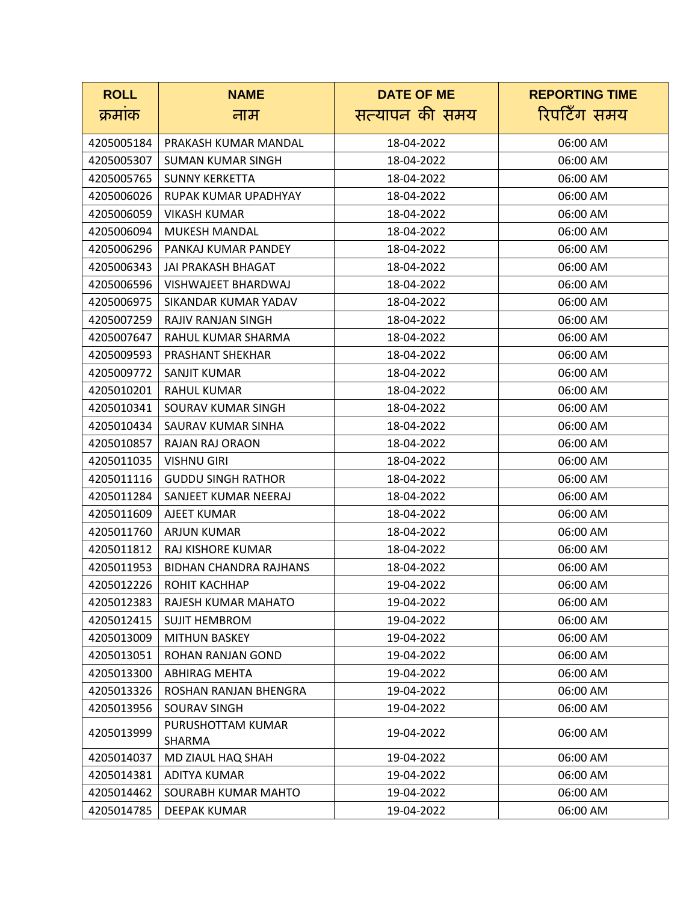| <b>ROLL</b> | <b>NAME</b>                 | <b>DATE OF ME</b> | <b>REPORTING TIME</b> |
|-------------|-----------------------------|-------------------|-----------------------|
| क्रमाक      | नाम                         | सत्यापन की समय    | रिपटिँग समय           |
| 4205005184  | PRAKASH KUMAR MANDAL        | 18-04-2022        | 06:00 AM              |
| 4205005307  | <b>SUMAN KUMAR SINGH</b>    | 18-04-2022        | 06:00 AM              |
| 4205005765  | <b>SUNNY KERKETTA</b>       | 18-04-2022        | 06:00 AM              |
| 4205006026  | RUPAK KUMAR UPADHYAY        | 18-04-2022        | 06:00 AM              |
| 4205006059  | <b>VIKASH KUMAR</b>         | 18-04-2022        | 06:00 AM              |
| 4205006094  | MUKESH MANDAL               | 18-04-2022        | 06:00 AM              |
| 4205006296  | PANKAJ KUMAR PANDEY         | 18-04-2022        | 06:00 AM              |
| 4205006343  | JAI PRAKASH BHAGAT          | 18-04-2022        | 06:00 AM              |
| 4205006596  | VISHWAJEET BHARDWAJ         | 18-04-2022        | 06:00 AM              |
| 4205006975  | SIKANDAR KUMAR YADAV        | 18-04-2022        | 06:00 AM              |
| 4205007259  | RAJIV RANJAN SINGH          | 18-04-2022        | 06:00 AM              |
| 4205007647  | RAHUL KUMAR SHARMA          | 18-04-2022        | 06:00 AM              |
| 4205009593  | <b>PRASHANT SHEKHAR</b>     | 18-04-2022        | 06:00 AM              |
| 4205009772  | SANJIT KUMAR                | 18-04-2022        | 06:00 AM              |
| 4205010201  | <b>RAHUL KUMAR</b>          | 18-04-2022        | 06:00 AM              |
| 4205010341  | SOURAV KUMAR SINGH          | 18-04-2022        | 06:00 AM              |
| 4205010434  | SAURAV KUMAR SINHA          | 18-04-2022        | 06:00 AM              |
| 4205010857  | RAJAN RAJ ORAON             | 18-04-2022        | 06:00 AM              |
| 4205011035  | <b>VISHNU GIRI</b>          | 18-04-2022        | 06:00 AM              |
| 4205011116  | <b>GUDDU SINGH RATHOR</b>   | 18-04-2022        | 06:00 AM              |
| 4205011284  | SANJEET KUMAR NEERAJ        | 18-04-2022        | 06:00 AM              |
| 4205011609  | AJEET KUMAR                 | 18-04-2022        | 06:00 AM              |
| 4205011760  | <b>ARJUN KUMAR</b>          | 18-04-2022        | 06:00 AM              |
| 4205011812  | RAJ KISHORE KUMAR           | 18-04-2022        | 06:00 AM              |
| 4205011953  | BIDHAN CHANDRA RAJHANS      | 18-04-2022        | 06:00 AM              |
| 4205012226  | <b>ROHIT KACHHAP</b>        | 19-04-2022        | 06:00 AM              |
| 4205012383  | RAJESH KUMAR MAHATO         | 19-04-2022        | 06:00 AM              |
| 4205012415  | <b>SUJIT HEMBROM</b>        | 19-04-2022        | 06:00 AM              |
| 4205013009  | <b>MITHUN BASKEY</b>        | 19-04-2022        | 06:00 AM              |
| 4205013051  | ROHAN RANJAN GOND           | 19-04-2022        | 06:00 AM              |
| 4205013300  | ABHIRAG MEHTA               | 19-04-2022        | 06:00 AM              |
| 4205013326  | ROSHAN RANJAN BHENGRA       | 19-04-2022        | 06:00 AM              |
| 4205013956  | <b>SOURAV SINGH</b>         | 19-04-2022        | 06:00 AM              |
| 4205013999  | PURUSHOTTAM KUMAR<br>SHARMA | 19-04-2022        | 06:00 AM              |
| 4205014037  | MD ZIAUL HAQ SHAH           | 19-04-2022        | 06:00 AM              |
| 4205014381  | ADITYA KUMAR                | 19-04-2022        | 06:00 AM              |
| 4205014462  | SOURABH KUMAR MAHTO         | 19-04-2022        | 06:00 AM              |
| 4205014785  | <b>DEEPAK KUMAR</b>         | 19-04-2022        | 06:00 AM              |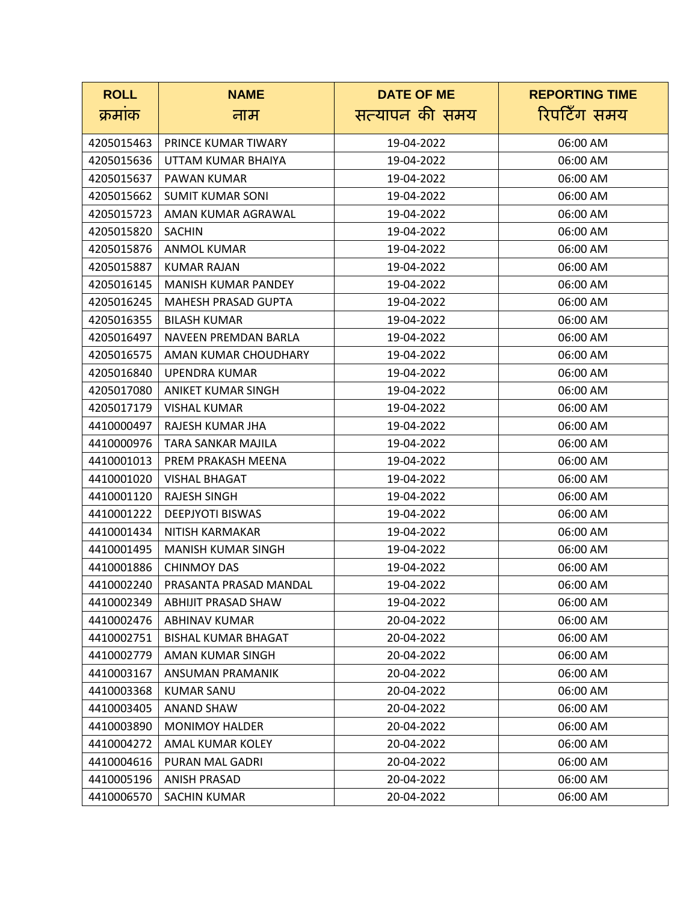| <b>ROLL</b> | <b>NAME</b>                | <b>DATE OF ME</b> | <b>REPORTING TIME</b> |
|-------------|----------------------------|-------------------|-----------------------|
| क्रमाक      | नाम                        | सत्यापन की समय    | रिपटिँग समय           |
|             | PRINCE KUMAR TIWARY        |                   |                       |
| 4205015463  |                            | 19-04-2022        | 06:00 AM              |
| 4205015636  | UTTAM KUMAR BHAIYA         | 19-04-2022        | 06:00 AM              |
| 4205015637  | PAWAN KUMAR                | 19-04-2022        | 06:00 AM              |
| 4205015662  | <b>SUMIT KUMAR SONI</b>    | 19-04-2022        | 06:00 AM              |
| 4205015723  | AMAN KUMAR AGRAWAL         | 19-04-2022        | 06:00 AM              |
| 4205015820  | <b>SACHIN</b>              | 19-04-2022        | 06:00 AM              |
| 4205015876  | <b>ANMOL KUMAR</b>         | 19-04-2022        | 06:00 AM              |
| 4205015887  | <b>KUMAR RAJAN</b>         | 19-04-2022        | 06:00 AM              |
| 4205016145  | <b>MANISH KUMAR PANDEY</b> | 19-04-2022        | 06:00 AM              |
| 4205016245  | <b>MAHESH PRASAD GUPTA</b> | 19-04-2022        | 06:00 AM              |
| 4205016355  | <b>BILASH KUMAR</b>        | 19-04-2022        | 06:00 AM              |
| 4205016497  | NAVEEN PREMDAN BARLA       | 19-04-2022        | 06:00 AM              |
| 4205016575  | AMAN KUMAR CHOUDHARY       | 19-04-2022        | 06:00 AM              |
| 4205016840  | <b>UPENDRA KUMAR</b>       | 19-04-2022        | 06:00 AM              |
| 4205017080  | ANIKET KUMAR SINGH         | 19-04-2022        | 06:00 AM              |
| 4205017179  | <b>VISHAL KUMAR</b>        | 19-04-2022        | 06:00 AM              |
| 4410000497  | RAJESH KUMAR JHA           | 19-04-2022        | 06:00 AM              |
| 4410000976  | TARA SANKAR MAJILA         | 19-04-2022        | 06:00 AM              |
| 4410001013  | PREM PRAKASH MEENA         | 19-04-2022        | 06:00 AM              |
| 4410001020  | <b>VISHAL BHAGAT</b>       | 19-04-2022        | 06:00 AM              |
| 4410001120  | <b>RAJESH SINGH</b>        | 19-04-2022        | 06:00 AM              |
| 4410001222  | <b>DEEPJYOTI BISWAS</b>    | 19-04-2022        | 06:00 AM              |
| 4410001434  | <b>NITISH KARMAKAR</b>     | 19-04-2022        | 06:00 AM              |
| 4410001495  | <b>MANISH KUMAR SINGH</b>  | 19-04-2022        | 06:00 AM              |
| 4410001886  | <b>CHINMOY DAS</b>         | 19-04-2022        | 06:00 AM              |
| 4410002240  | PRASANTA PRASAD MANDAL     | 19-04-2022        | 06:00 AM              |
| 4410002349  | ABHIJIT PRASAD SHAW        | 19-04-2022        | 06:00 AM              |
| 4410002476  | ABHINAV KUMAR              | 20-04-2022        | 06:00 AM              |
| 4410002751  | <b>BISHAL KUMAR BHAGAT</b> | 20-04-2022        | 06:00 AM              |
| 4410002779  | AMAN KUMAR SINGH           | 20-04-2022        | 06:00 AM              |
| 4410003167  | ANSUMAN PRAMANIK           | 20-04-2022        | 06:00 AM              |
| 4410003368  | <b>KUMAR SANU</b>          | 20-04-2022        | 06:00 AM              |
| 4410003405  | ANAND SHAW                 | 20-04-2022        | 06:00 AM              |
| 4410003890  | <b>MONIMOY HALDER</b>      | 20-04-2022        | 06:00 AM              |
| 4410004272  | AMAL KUMAR KOLEY           | 20-04-2022        | 06:00 AM              |
| 4410004616  | PURAN MAL GADRI            | 20-04-2022        | 06:00 AM              |
| 4410005196  | ANISH PRASAD               | 20-04-2022        | 06:00 AM              |
| 4410006570  | SACHIN KUMAR               | 20-04-2022        | 06:00 AM              |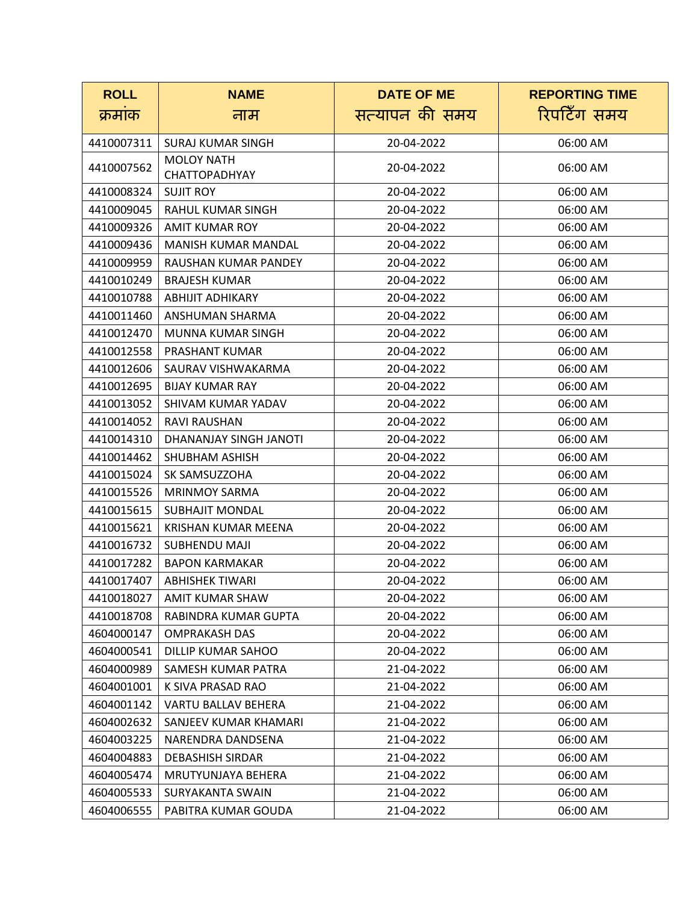| <b>ROLL</b> | <b>NAME</b>                | <b>DATE OF ME</b> | <b>REPORTING TIME</b> |
|-------------|----------------------------|-------------------|-----------------------|
| क्रमाक      | नाम                        | सत्यापन की समय    | रिपटिँग समय           |
| 4410007311  | <b>SURAJ KUMAR SINGH</b>   | 20-04-2022        | 06:00 AM              |
|             | <b>MOLOY NATH</b>          |                   |                       |
| 4410007562  | <b>CHATTOPADHYAY</b>       | 20-04-2022        | 06:00 AM              |
| 4410008324  | <b>SUJIT ROY</b>           | 20-04-2022        | 06:00 AM              |
| 4410009045  | RAHUL KUMAR SINGH          | 20-04-2022        | 06:00 AM              |
| 4410009326  | AMIT KUMAR ROY             | 20-04-2022        | 06:00 AM              |
| 4410009436  | MANISH KUMAR MANDAL        | 20-04-2022        | 06:00 AM              |
| 4410009959  | RAUSHAN KUMAR PANDEY       | 20-04-2022        | 06:00 AM              |
| 4410010249  | <b>BRAJESH KUMAR</b>       | 20-04-2022        | 06:00 AM              |
| 4410010788  | <b>ABHIJIT ADHIKARY</b>    | 20-04-2022        | 06:00 AM              |
| 4410011460  | ANSHUMAN SHARMA            | 20-04-2022        | 06:00 AM              |
| 4410012470  | MUNNA KUMAR SINGH          | 20-04-2022        | 06:00 AM              |
| 4410012558  | PRASHANT KUMAR             | 20-04-2022        | 06:00 AM              |
| 4410012606  | SAURAV VISHWAKARMA         | 20-04-2022        | 06:00 AM              |
| 4410012695  | <b>BIJAY KUMAR RAY</b>     | 20-04-2022        | 06:00 AM              |
| 4410013052  | SHIVAM KUMAR YADAV         | 20-04-2022        | 06:00 AM              |
| 4410014052  | <b>RAVI RAUSHAN</b>        | 20-04-2022        | 06:00 AM              |
| 4410014310  | DHANANJAY SINGH JANOTI     | 20-04-2022        | 06:00 AM              |
| 4410014462  | <b>SHUBHAM ASHISH</b>      | 20-04-2022        | 06:00 AM              |
| 4410015024  | SK SAMSUZZOHA              | 20-04-2022        | 06:00 AM              |
| 4410015526  | <b>MRINMOY SARMA</b>       | 20-04-2022        | 06:00 AM              |
| 4410015615  | <b>SUBHAJIT MONDAL</b>     | 20-04-2022        | 06:00 AM              |
| 4410015621  | <b>KRISHAN KUMAR MEENA</b> | 20-04-2022        | 06:00 AM              |
| 4410016732  | <b>SUBHENDU MAJI</b>       | 20-04-2022        | 06:00 AM              |
| 4410017282  | <b>BAPON KARMAKAR</b>      | 20-04-2022        | 06:00 AM              |
| 4410017407  | <b>ABHISHEK TIWARI</b>     | 20-04-2022        | 06:00 AM              |
| 4410018027  | AMIT KUMAR SHAW            | 20-04-2022        | 06:00 AM              |
| 4410018708  | RABINDRA KUMAR GUPTA       | 20-04-2022        | 06:00 AM              |
| 4604000147  | <b>OMPRAKASH DAS</b>       | 20-04-2022        | 06:00 AM              |
| 4604000541  | DILLIP KUMAR SAHOO         | 20-04-2022        | 06:00 AM              |
| 4604000989  | SAMESH KUMAR PATRA         | 21-04-2022        | 06:00 AM              |
| 4604001001  | K SIVA PRASAD RAO          | 21-04-2022        | 06:00 AM              |
| 4604001142  | <b>VARTU BALLAV BEHERA</b> | 21-04-2022        | 06:00 AM              |
| 4604002632  | SANJEEV KUMAR KHAMARI      | 21-04-2022        | 06:00 AM              |
| 4604003225  | NARENDRA DANDSENA          | 21-04-2022        | 06:00 AM              |
| 4604004883  | <b>DEBASHISH SIRDAR</b>    | 21-04-2022        | 06:00 AM              |
| 4604005474  | MRUTYUNJAYA BEHERA         | 21-04-2022        | 06:00 AM              |
| 4604005533  | SURYAKANTA SWAIN           | 21-04-2022        | 06:00 AM              |
| 4604006555  | PABITRA KUMAR GOUDA        | 21-04-2022        | 06:00 AM              |